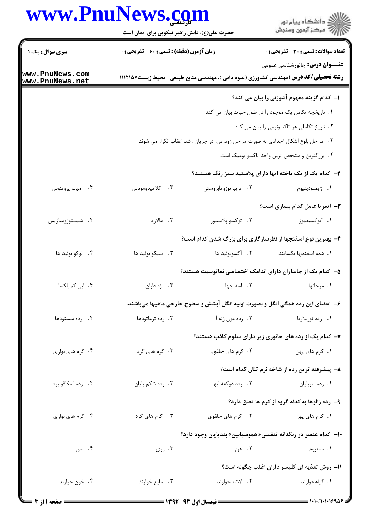## www.PnuNews.com

|                                    | www.PnuNews.com<br>حضرت علی(ع): دانش راهبر نیکویی برای ایمان است                  |                       | ڪ دانشڪاه پيام نور<br>//> مرڪز آزمون وسنڊش                                                                                            |  |  |
|------------------------------------|-----------------------------------------------------------------------------------|-----------------------|---------------------------------------------------------------------------------------------------------------------------------------|--|--|
| <b>سری سوال :</b> یک ۱             | <b>زمان آزمون (دقیقه) : تستی : 60 ٪ تشریحی : 0</b>                                |                       | <b>تعداد سوالات : تستي : 30 ٪ تشريحي : 0</b>                                                                                          |  |  |
| www.PnuNews.com<br>www.PnuNews.net |                                                                                   |                       | <b>عنـــوان درس:</b> جانورشناسی عمومی<br><b>رشته تحصیلی/کد درس:</b> مهندسی کشاورزی (علوم دامی )، مهندسی منابع طبیعی -محیط زیست1۱۱۲۱۵۷ |  |  |
|                                    |                                                                                   |                       | ۱– کدام گزینه مفهوم آنتوژنی را بیان می کند؟                                                                                           |  |  |
|                                    |                                                                                   |                       | 1. تاریخچه تکامل یک موجود را در طول حیات بیان می کند.                                                                                 |  |  |
|                                    | ٢. تاریخ تکاملی هر تاکسونومی را بیان می کند.                                      |                       |                                                                                                                                       |  |  |
|                                    | ۳. مراحل بلوغ اشکال اجدادی به صورت مراحل زودرس، در جریان رشد اعقاب تکرار می شوند. |                       |                                                                                                                                       |  |  |
|                                    | ۰۴ بزرگترین و مشخص ترین واحد تاکسو نومیک است.                                     |                       |                                                                                                                                       |  |  |
|                                    |                                                                                   |                       | ۲- کدام یک از تک یاخته ایها دارای پلاستید سبز رنگ هستند؟                                                                              |  |  |
| ۰۴ آمیب پروتئوس                    | ۰۳ کلامیدوموناس                                                                   | ۰۲ تریبا نوزومابروسئی | ٠١ ژيمنودينيوم                                                                                                                        |  |  |
|                                    |                                                                                   |                       | <b>٣</b> - ایمریا عامل کدام بیماری است؟                                                                                               |  |  |
| ۰۴ شیستوزومیازیس                   | ۰۳ مالاریا                                                                        | ٢. توكسو پلاسموز      | ۰۱ کوکسیدیوز                                                                                                                          |  |  |
|                                    |                                                                                   |                       | ۴- بهترین نوع اسفنجها از نظرسازگاری برای بزرگ شدن کدام است؟                                                                           |  |  |
| ۴. لوکو نوئید ها                   | ۰۳ سیکو نوئید ها                                                                  | ٢. آکسونوئید ها       | ٠١. همه اسفنجها يكسانند.                                                                                                              |  |  |
|                                    |                                                                                   |                       | ۵– کدام یک از جانداران دارای اندامک اختصاصی نماتوسیت هستند؟                                                                           |  |  |
| ۰۴ اپی کمپلکسا                     | ۰۳ مژه داران                                                                      | ۰۲ اسفنجها            | ۰۱ مرجانها                                                                                                                            |  |  |
|                                    |                                                                                   |                       | ۶–  اعضای این رده همگی انگل و بصورت اولیه انگل آبشش و سطوح خارجی ماهیها میباشند.                                                      |  |  |
| ۰۴ رده سستودها                     | ۰۳ رده ترماتودها                                                                  | ۲. رده مون ژنه آ      | ۰۱ رده توربلاريا                                                                                                                      |  |  |
|                                    |                                                                                   |                       | ۷– کدام یک از رده های جانوری زیر دارای سلوم کاذب هستند؟                                                                               |  |  |
| ۰۴ کرم های نواری                   | ۰۳ کرم های گرد                                                                    | ۲. کرم های حلقوی      | ۰۱ کرم های پهن                                                                                                                        |  |  |
|                                    |                                                                                   |                       | ۸– پیشرفته ترین رده از شاخه نرم تنان کدام است؟                                                                                        |  |  |
| ۰۴ رده اسکافو پودا                 | ۰۳ رده شکم پایان                                                                  | ٢. رده دوكفه ايها     | ۰۱ رده سرپایان                                                                                                                        |  |  |
|                                    |                                                                                   |                       | ۹- رده زالوها به کدام گروه از کرم ها تعلق دارد؟                                                                                       |  |  |
| ۰۴ کرم های نواری                   | ۰۳ کرم های گرد                                                                    | ۰۲ کرم های حلقوی      | 1. كرم هاى پهن                                                                                                                        |  |  |
|                                    |                                                                                   |                       | +ا–  کدام عنصر در رنگدانه تنفسی« هموسیانین» بندپایان وجود دارد؟                                                                       |  |  |
| ۰۴ مس                              | ۰۳ روی                                                                            | ۰۲ آهن                | ۰۱ سلنيوم                                                                                                                             |  |  |
|                                    |                                                                                   |                       | ۱۱– روش تغذیه ای کلیسر داران اغلب چگونه است؟                                                                                          |  |  |
| ۰۴ خون خوارند                      | ۰۳ مايع خوارند                                                                    | ٢. لاشه خوارند        | ٠١. گياهخوارند                                                                                                                        |  |  |
|                                    |                                                                                   |                       |                                                                                                                                       |  |  |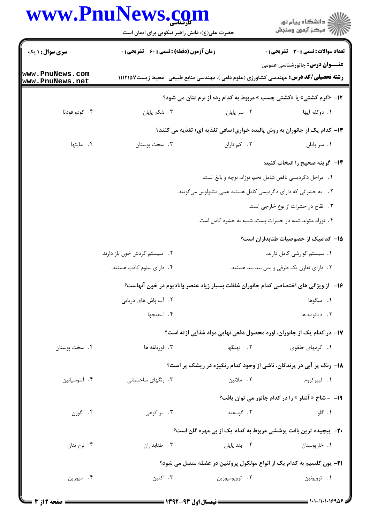## www.PnuNews.com

| <b>سری سوال : ۱ یک</b><br>www.PnuNews.com<br>www.PnuNews.net<br>۰۴ کودو فودتا<br>۰۴ مایتها<br>۰۴ سخت پوستان | <b>زمان آزمون (دقیقه) : تستی : 60 ٪ تشریحی : 0</b><br>۰۳ شکم پایان<br>۰۳ سخت پوستان | <b>رشته تحصیلی/کد درس:</b> مهندسی کشاورزی (علوم دامی )، مهندسی منابع طبیعی -محیط زیست۱۱۱۲۱۵۷<br>12- «کرم کشتی» یا «کشتی چسب » مربوط به کدام رده از نرم تنان می شود؟<br>٠٢ سر پايان<br>۱۳– کدام یک از جانوران به روش پالیده خواری(صافی تغذیه ای) تغذیه می کنند؟<br>۰۲ کم تاران<br>٠١. مراحل دكرديسي ناقص شامل تخم، نوزاد، نوچه و بالغ است.<br>۲. به حشراتی که دارای دگردیسی کامل هستند همی متابولوس میگویند.<br>۰۴ نوزاد متولد شده در حشرات پست، شبیه به حشره کامل است. | <b>تعداد سوالات : تستی : 30 ٪ تشریحی : 0</b><br><b>عنـــوان درس:</b> جانورشناسی عمومی<br>٠١. دوكفه ايها<br>۰۱ سر پایان<br>۱۴– گزینه صحیح را انتخاب کنید:<br>۰۳ لقاح در حشرات از نوع خارجی است.<br>1۵– کدامیک از خصوصیات طنابداران است؟ |
|-------------------------------------------------------------------------------------------------------------|-------------------------------------------------------------------------------------|------------------------------------------------------------------------------------------------------------------------------------------------------------------------------------------------------------------------------------------------------------------------------------------------------------------------------------------------------------------------------------------------------------------------------------------------------------------------|----------------------------------------------------------------------------------------------------------------------------------------------------------------------------------------------------------------------------------------|
|                                                                                                             |                                                                                     |                                                                                                                                                                                                                                                                                                                                                                                                                                                                        |                                                                                                                                                                                                                                        |
|                                                                                                             |                                                                                     |                                                                                                                                                                                                                                                                                                                                                                                                                                                                        |                                                                                                                                                                                                                                        |
|                                                                                                             |                                                                                     |                                                                                                                                                                                                                                                                                                                                                                                                                                                                        |                                                                                                                                                                                                                                        |
|                                                                                                             |                                                                                     |                                                                                                                                                                                                                                                                                                                                                                                                                                                                        |                                                                                                                                                                                                                                        |
|                                                                                                             |                                                                                     |                                                                                                                                                                                                                                                                                                                                                                                                                                                                        |                                                                                                                                                                                                                                        |
|                                                                                                             |                                                                                     |                                                                                                                                                                                                                                                                                                                                                                                                                                                                        |                                                                                                                                                                                                                                        |
|                                                                                                             |                                                                                     |                                                                                                                                                                                                                                                                                                                                                                                                                                                                        |                                                                                                                                                                                                                                        |
|                                                                                                             |                                                                                     |                                                                                                                                                                                                                                                                                                                                                                                                                                                                        |                                                                                                                                                                                                                                        |
|                                                                                                             |                                                                                     |                                                                                                                                                                                                                                                                                                                                                                                                                                                                        |                                                                                                                                                                                                                                        |
|                                                                                                             |                                                                                     |                                                                                                                                                                                                                                                                                                                                                                                                                                                                        |                                                                                                                                                                                                                                        |
|                                                                                                             |                                                                                     |                                                                                                                                                                                                                                                                                                                                                                                                                                                                        |                                                                                                                                                                                                                                        |
|                                                                                                             |                                                                                     |                                                                                                                                                                                                                                                                                                                                                                                                                                                                        |                                                                                                                                                                                                                                        |
|                                                                                                             | ۰۲ سیستم گردش خون باز دارند.                                                        |                                                                                                                                                                                                                                                                                                                                                                                                                                                                        | ۰۱ سیستم گوارشی کامل دارند.                                                                                                                                                                                                            |
|                                                                                                             | ۰۴ دارای سلوم کاذب هستند.                                                           |                                                                                                                                                                                                                                                                                                                                                                                                                                                                        | ۰۳ دارای تقارن یک طرفی و بدن بند بند هستند.                                                                                                                                                                                            |
|                                                                                                             |                                                                                     | ۱۶– از ویژگی های اختصاصی کدام جانوران غلظت بسیار زیاد عنصر وانادیوم در خون آنهاست؟                                                                                                                                                                                                                                                                                                                                                                                     |                                                                                                                                                                                                                                        |
|                                                                                                             | ۲ . آب پاش های دریایی                                                               |                                                                                                                                                                                                                                                                                                                                                                                                                                                                        | ۰۱ میگوها                                                                                                                                                                                                                              |
|                                                                                                             | ۴. اسفنجها                                                                          |                                                                                                                                                                                                                                                                                                                                                                                                                                                                        | ۰۳ دیاتومه ها                                                                                                                                                                                                                          |
|                                                                                                             |                                                                                     | ۱۷– در کدام یک از جانوران، اوره محصول دفعی نهایی مواد غذایی از ته است؟                                                                                                                                                                                                                                                                                                                                                                                                 |                                                                                                                                                                                                                                        |
|                                                                                                             | ۰۳ قورباغه ها                                                                       | ۰۲ نهنگها                                                                                                                                                                                                                                                                                                                                                                                                                                                              | ۰۱ کرمهای حلقوی                                                                                                                                                                                                                        |
|                                                                                                             |                                                                                     | ۱۸- رنگ پر آبی در پرندگان، ناشی از وجود کدام رنگیزه در ریشک پر است؟                                                                                                                                                                                                                                                                                                                                                                                                    |                                                                                                                                                                                                                                        |
| ۰۴ آنتوسیانین                                                                                               | ۰۳ رنگهای ساختمانی                                                                  | ٢. ملانين                                                                                                                                                                                                                                                                                                                                                                                                                                                              | ۰۱ لیپوکروم                                                                                                                                                                                                                            |
|                                                                                                             |                                                                                     |                                                                                                                                                                                                                                                                                                                                                                                                                                                                        | 19- - شاخ « آنتلر » را در کدام جانور می توان یافت؟                                                                                                                                                                                     |
| ۰۴ گوزن                                                                                                     | ۰۳ بز کوهی                                                                          | ۰۲ گوسفند                                                                                                                                                                                                                                                                                                                                                                                                                                                              | ۰۱ گاو                                                                                                                                                                                                                                 |
|                                                                                                             |                                                                                     | <b>۲۰</b> پیچیده ترین بافت پوششی مربوط به کدام یک از بی مهره گان است؟                                                                                                                                                                                                                                                                                                                                                                                                  |                                                                                                                                                                                                                                        |
| ۰۴ نرم تنان                                                                                                 | ۰۳ طنابداران                                                                        | ۰۲ بند پایان                                                                                                                                                                                                                                                                                                                                                                                                                                                           | ۰۱ خارپوستان                                                                                                                                                                                                                           |
|                                                                                                             |                                                                                     | <b>۲۱</b> - یون کلسیم به کدام یک از انواع مولکول پروتئین در عضله متصل می شود؟                                                                                                                                                                                                                                                                                                                                                                                          |                                                                                                                                                                                                                                        |
| ۰۴ میوزین                                                                                                   |                                                                                     |                                                                                                                                                                                                                                                                                                                                                                                                                                                                        |                                                                                                                                                                                                                                        |